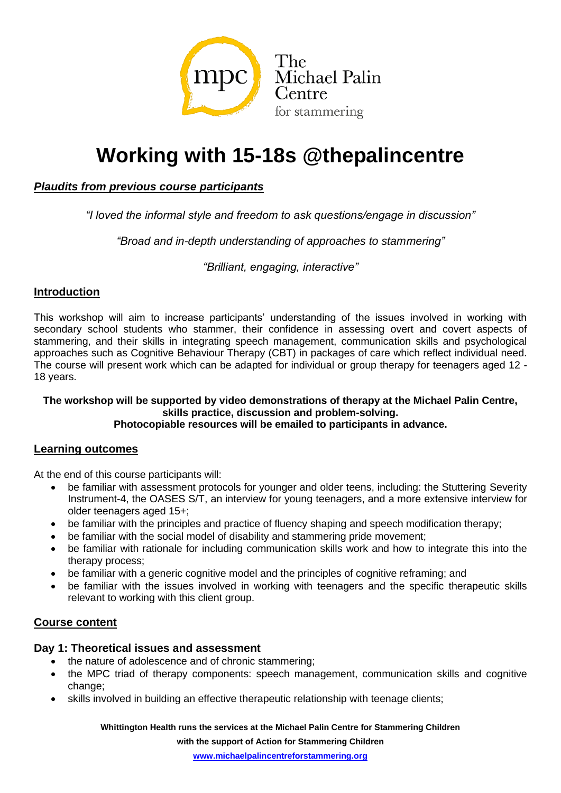

# **Working with 15-18s @thepalincentre**

# *Plaudits from previous course participants*

*"I loved the informal style and freedom to ask questions/engage in discussion"*

*"Broad and in-depth understanding of approaches to stammering"*

*"Brilliant, engaging, interactive"*

# **Introduction**

This workshop will aim to increase participants' understanding of the issues involved in working with secondary school students who stammer, their confidence in assessing overt and covert aspects of stammering, and their skills in integrating speech management, communication skills and psychological approaches such as Cognitive Behaviour Therapy (CBT) in packages of care which reflect individual need. The course will present work which can be adapted for individual or group therapy for teenagers aged 12 - 18 years.

#### **The workshop will be supported by video demonstrations of therapy at the Michael Palin Centre, skills practice, discussion and problem-solving. Photocopiable resources will be emailed to participants in advance.**

### **Learning outcomes**

At the end of this course participants will:

- be familiar with assessment protocols for younger and older teens, including: the Stuttering Severity Instrument-4, the OASES S/T, an interview for young teenagers, and a more extensive interview for older teenagers aged 15+;
- be familiar with the principles and practice of fluency shaping and speech modification therapy;
- be familiar with the social model of disability and stammering pride movement;
- be familiar with rationale for including communication skills work and how to integrate this into the therapy process;
- be familiar with a generic cognitive model and the principles of cognitive reframing; and
- be familiar with the issues involved in working with teenagers and the specific therapeutic skills relevant to working with this client group.

### **Course content**

# **Day 1: Theoretical issues and assessment**

- the nature of adolescence and of chronic stammering;
- the MPC triad of therapy components: speech management, communication skills and cognitive change;
- skills involved in building an effective therapeutic relationship with teenage clients;

**Whittington Health runs the services at the Michael Palin Centre for Stammering Children** 

**with the support of Action for Stammering Children**